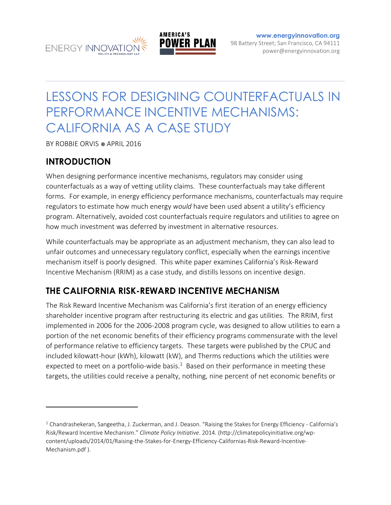



**[www.energyinnovation.org](http://www.energyinnovation.org/)** 98 Battery Street; San Francisco, CA 94111 power@energyinnovation.org

# LESSONS FOR DESIGNING COUNTERFACTUALS IN PERFORMANCE INCENTIVE MECHANISMS: CALIFORNIA AS A CASE STUDY

BY ROBBIE ORVIS ● APRIL 2016

### **INTRODUCTION**

 $\overline{a}$ 

When designing performance incentive mechanisms, regulators may consider using counterfactuals as a way of vetting utility claims. These counterfactuals may take different forms. For example, in energy efficiency performance mechanisms, counterfactuals may require regulators to estimate how much energy *would* have been used absent a utility's efficiency program. Alternatively, avoided cost counterfactuals require regulators and utilities to agree on how much investment was deferred by investment in alternative resources.

While counterfactuals may be appropriate as an adjustment mechanism, they can also lead to unfair outcomes and unnecessary regulatory conflict, especially when the earnings incentive mechanism itself is poorly designed. This white paper examines California's Risk-Reward Incentive Mechanism (RRIM) as a case study, and distills lessons on incentive design.

### **THE CALIFORNIA RISK-REWARD INCENTIVE MECHANISM**

The Risk Reward Incentive Mechanism was California's first iteration of an energy efficiency shareholder incentive program after restructuring its electric and gas utilities. The RRIM, first implemented in 2006 for the 2006-2008 program cycle, was designed to allow utilities to earn a portion of the net economic benefits of their efficiency programs commensurate with the level of performance relative to efficiency targets. These targets were published by the CPUC and included kilowatt-hour (kWh), kilowatt (kW), and Therms reductions which the utilities were expected to meet on a portfolio-wide basis.<sup>1</sup> Based on their performance in meeting these targets, the utilities could receive a penalty, nothing, nine percent of net economic benefits or

 $1$  Chandrashekeran, Sangeetha, J. Zuckerman, and J. Deason. "Raising the Stakes for Energy Efficiency - California's Risk/Reward Incentive Mechanism." *Climate Policy Initiative*. 2014. (http://climatepolicyinitiative.org/wpcontent/uploads/2014/01/Raising-the-Stakes-for-Energy-Efficiency-Californias-Risk-Reward-Incentive-Mechanism.pdf ).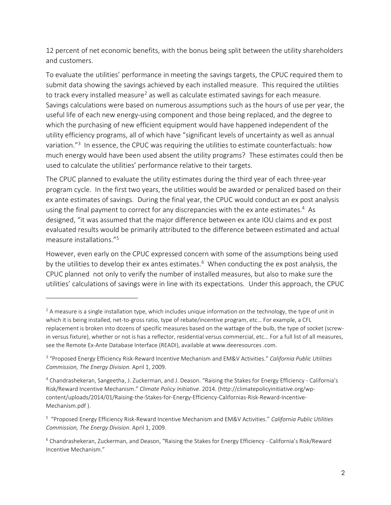12 percent of net economic benefits, with the bonus being split between the utility shareholders and customers.

To evaluate the utilities' performance in meeting the savings targets, the CPUC required them to submit data showing the savings achieved by each installed measure. This required the utilities to track every installed measure<sup>2</sup> as well as calculate estimated savings for each measure. Savings calculations were based on numerous assumptions such as the hours of use per year, the useful life of each new energy-using component and those being replaced, and the degree to which the purchasing of new efficient equipment would have happened independent of the utility efficiency programs, all of which have "significant levels of uncertainty as well as annual variation."<sup>3</sup> In essence, the CPUC was requiring the utilities to estimate counterfactuals: how much energy would have been used absent the utility programs? These estimates could then be used to calculate the utilities' performance relative to their targets.

The CPUC planned to evaluate the utility estimates during the third year of each three-year program cycle. In the first two years, the utilities would be awarded or penalized based on their ex ante estimates of savings. During the final year, the CPUC would conduct an ex post analysis using the final payment to correct for any discrepancies with the ex ante estimates.<sup>4</sup> As designed, "it was assumed that the major difference between ex ante IOU claims and ex post evaluated results would be primarily attributed to the difference between estimated and actual measure installations." 5

However, even early on the CPUC expressed concern with some of the assumptions being used by the utilities to develop their ex antes estimates.<sup>6</sup> When conducting the ex post analysis, the CPUC planned not only to verify the number of installed measures, but also to make sure the utilities' calculations of savings were in line with its expectations. Under this approach, the CPUC

 $\overline{a}$ 

 $2A$  measure is a single installation type, which includes unique information on the technology, the type of unit in which it is being installed, net-to-gross ratio, type of rebate/incentive program, etc… For example, a CFL replacement is broken into dozens of specific measures based on the wattage of the bulb, the type of socket (screwin versus fixture), whether or not is has a reflector, residential versus commercial, etc… For a full list of all measures, see the Remote Ex-Ante Database Interface (READI), available at www.deeresources .com.

<sup>3</sup> "Proposed Energy Efficiency Risk-Reward Incentive Mechanism and EM&V Activities." *California Public Utilities Commission, The Energy Division.* April 1, 2009.

<sup>4</sup> Chandrashekeran, Sangeetha, J. Zuckerman, and J. Deason. "Raising the Stakes for Energy Efficiency - California's Risk/Reward Incentive Mechanism." *Climate Policy Initiative*. 2014. (http://climatepolicyinitiative.org/wpcontent/uploads/2014/01/Raising-the-Stakes-for-Energy-Efficiency-Californias-Risk-Reward-Incentive-Mechanism.pdf ).

<sup>5</sup> "Proposed Energy Efficiency Risk-Reward Incentive Mechanism and EM&V Activities." *California Public Utilities Commission, The Energy Division.* April 1, 2009.

<sup>&</sup>lt;sup>6</sup> Chandrashekeran, Zuckerman, and Deason, "Raising the Stakes for Energy Efficiency - California's Risk/Reward Incentive Mechanism."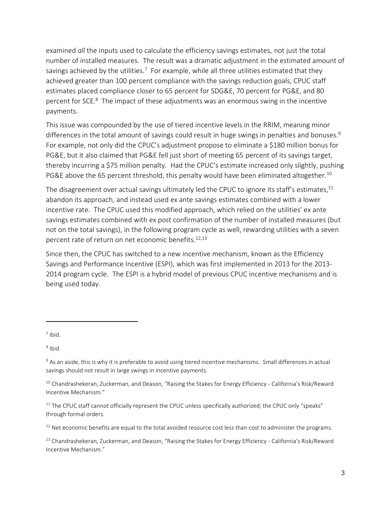examined *all* the inputs used to calculate the efficiency savings estimates, not just the total number of installed measures. The result was a dramatic adjustment in the estimated amount of savings achieved by the utilities.<sup>7</sup> For example, while all three utilities estimated that they achieved greater than 100 percent compliance with the savings reduction goals, CPUC staff estimates placed compliance closer to 65 percent for SDG&E, 70 percent for PG&E, and 80 percent for SCE.<sup>8</sup> The impact of these adjustments was an enormous swing in the incentive payments.

This issue was compounded by the use of tiered incentive levels in the RRIM, meaning minor differences in the total amount of savings could result in huge swings in penalties and bonuses.<sup>9</sup> For example, not only did the CPUC's adjustment propose to eliminate a \$180 million bonus for PG&E, but it also claimed that PG&E fell just short of meeting 65 percent of its savings target, thereby incurring a \$75 million penalty. Had the CPUC's estimate increased only slightly, pushing PG&E above the 65 percent threshold, this penalty would have been eliminated altogether.<sup>10</sup>

The disagreement over actual savings ultimately led the CPUC to ignore its staff's estimates, $^{\rm 11}$ abandon its approach, and instead used ex ante savings estimates combined with a lower incentive rate. The CPUC used this modified approach, which relied on the utilities' ex ante savings estimates combined with ex post confirmation of the number of installed measures (but not on the total savings), in the following program cycle as well, rewarding utilities with a seven percent rate of return on net economic benefits.<sup>12,13</sup>

Since then, the CPUC has switched to a new incentive mechanism, known as the Efficiency Savings and Performance Incentive (ESPI), which was first implemented in 2013 for the 2013- 2014 program cycle. The ESPI is a hybrid model of previous CPUC incentive mechanisms and is being used today.

 $7$  Ibid.

 $\overline{a}$ 

8 Ibid.

<sup>&</sup>lt;sup>9</sup> As an aside, this is why it is preferable to avoid using tiered incentive mechanisms. Small differences in actual savings should not result in large swings in incentive payments.

<sup>&</sup>lt;sup>10</sup> Chandrashekeran, Zuckerman, and Deason, "Raising the Stakes for Energy Efficiency - California's Risk/Reward Incentive Mechanism."

<sup>&</sup>lt;sup>11</sup> The CPUC staff cannot officially represent the CPUC unless specifically authorized; the CPUC only "speaks" through formal orders.

<sup>&</sup>lt;sup>12</sup> Net economic benefits are equal to the total avoided resource cost less than cost to administer the programs.

<sup>&</sup>lt;sup>13</sup> Chandrashekeran, Zuckerman, and Deason, "Raising the Stakes for Energy Efficiency - California's Risk/Reward Incentive Mechanism."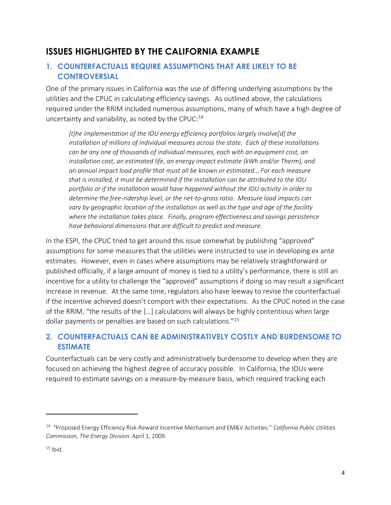## **ISSUES HIGHLIGHTED BY THE CALIFORNIA EXAMPLE**

#### **1. COUNTERFACTUALS REQUIRE ASSUMPTIONS THAT ARE LIKELY TO BE CONTROVERSIAL**

One of the primary issues in California was the use of differing underlying assumptions by the utilities and the CPUC in calculating efficiency savings. As outlined above, the calculations required under the RRIM included numerous assumptions, many of which have a high degree of uncertainty and variability, as noted by the CPUC: $^{14}$ 

*[t]he implementation of the IOU energy efficiency portfolios largely involve[d] the installation of millions of individual measures across the state. Each of these installations can be any one of thousands of individual measures, each with an equipment cost, an installation cost, an estimated life, an energy impact estimate (kWh and/or Therm), and an annual impact load profile that must all be known or estimated… For each measure that is installed, it must be determined if the installation can be attributed to the IOU portfolio or if the installation would have happened without the IOU activity in order to determine the free-ridership level, or the net-to-gross ratio. Measure load impacts can*  vary by geographic location of the installation as well as the type and age of the facility *where the installation takes place. Finally, program effectiveness and savings persistence have behavioral dimensions that are difficult to predict and measure.*

In the ESPI, the CPUC tried to get around this issue somewhat by publishing "approved" assumptions for some measures that the utilities were instructed to use in developing ex ante estimates. However, even in cases where assumptions may be relatively straightforward or published officially, if a large amount of money is tied to a utility's performance, there is still an incentive for a utility to challenge the "approved" assumptions if doing so may result a significant increase in revenue. At the same time, regulators also have leeway to revise the counterfactual if the incentive achieved doesn't comport with their expectations. As the CPUC noted in the case of the RRIM, "the results of the […] calculations will always be highly contentious when large dollar payments or penalties are based on such calculations."<sup>15</sup>

#### **2. COUNTERFACTUALS CAN BE ADMINISTRATIVELY COSTLY AND BURDENSOME TO ESTIMATE**

Counterfactuals can be very costly and administratively burdensome to develop when they are focused on achieving the highest degree of accuracy possible. In California, the IOUs were required to estimate savings on a measure-by-measure basis, which required tracking each

 $\overline{a}$ 

<sup>14</sup> "Proposed Energy Efficiency Risk-Reward Incentive Mechanism and EM&V Activities." *California Public Utilities Commission, The Energy Division*. April 1, 2009.

 $15$  Ibid.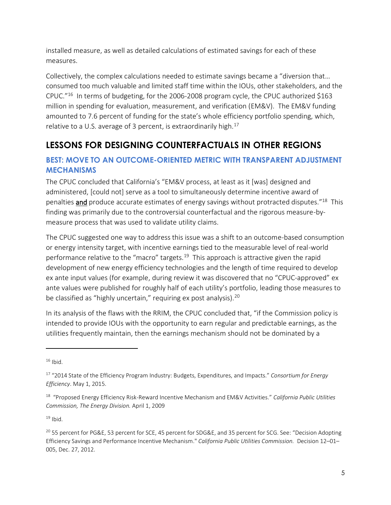installed measure, as well as detailed calculations of estimated savings for each of these measures.

Collectively, the complex calculations needed to estimate savings became a "diversion that… consumed too much valuable and limited staff time within the IOUs, other stakeholders, and the CPUC." <sup>16</sup> In terms of budgeting, for the 2006-2008 program cycle, the CPUC authorized \$163 million in spending for evaluation, measurement, and verification (EM&V). The EM&V funding amounted to 7.6 percent of funding for the state's whole efficiency portfolio spending, which, relative to a U.S. average of 3 percent, is extraordinarily high. $17$ 

# **LESSONS FOR DESIGNING COUNTERFACTUALS IN OTHER REGIONS**

#### **BEST: MOVE TO AN OUTCOME-ORIENTED METRIC WITH TRANSPARENT ADJUSTMENT MECHANISMS**

The CPUC concluded that California's "EM&V process, at least as it [was] designed and administered, [could not] serve as a tool to simultaneously determine incentive award of penalties and produce accurate estimates of energy savings without protracted disputes."<sup>18</sup> This finding was primarily due to the controversial counterfactual and the rigorous measure-bymeasure process that was used to validate utility claims.

The CPUC suggested one way to address this issue was a shift to an outcome-based consumption or energy intensity target, with incentive earnings tied to the measurable level of real-world performance relative to the "macro" targets.<sup>19</sup> This approach is attractive given the rapid development of new energy efficiency technologies and the length of time required to develop ex ante input values (for example, during review it was discovered that no "CPUC-approved" ex ante values were published for roughly half of each utility's portfolio, leading those measures to be classified as "highly uncertain," requiring ex post analysis).<sup>20</sup>

In its analysis of the flaws with the RRIM, the CPUC concluded that, "if the Commission policy is intended to provide IOUs with the opportunity to earn regular and predictable earnings, as the utilities frequently maintain, then the earnings mechanism should not be dominated by a

 $\overline{a}$ 

 $19$  Ibid.

 $16$  Ibid.

<sup>17</sup> "2014 State of the Efficiency Program Industry: Budgets, Expenditures, and Impacts." *Consortium for Energy Efficiency*. May 1, 2015.

<sup>18</sup> "Proposed Energy Efficiency Risk-Reward Incentive Mechanism and EM&V Activities." *California Public Utilities Commission, The Energy Division.* April 1, 2009

<sup>&</sup>lt;sup>20</sup> 55 percent for PG&E, 53 percent for SCE, 45 percent for SDG&E, and 35 percent for SCG. See: "Decision Adopting Efficiency Savings and Performance Incentive Mechanism." *California Public Utilities Commission.* Decision 12–01– 005, Dec. 27, 2012.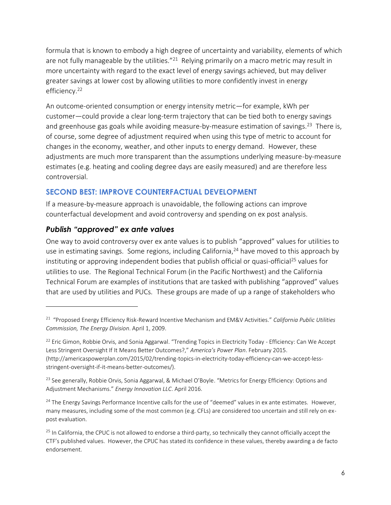formula that is known to embody a high degree of uncertainty and variability, elements of which are not fully manageable by the utilities."<sup>21</sup> Relying primarily on a macro metric may result in more uncertainty with regard to the exact level of energy savings achieved, but may deliver greater savings at lower cost by allowing utilities to more confidently invest in energy efficiency. 22

An outcome-oriented consumption or energy intensity metric—for example, kWh per customer—could provide a clear long-term trajectory that can be tied both to energy savings and greenhouse gas goals while avoiding measure-by-measure estimation of savings.<sup>23</sup> There is, of course, some degree of adjustment required when using this type of metric to account for changes in the economy, weather, and other inputs to energy demand. However, these adjustments are much more transparent than the assumptions underlying measure-by-measure estimates (e.g. heating and cooling degree days are easily measured) and are therefore less controversial.

#### **SECOND BEST: IMPROVE COUNTERFACTUAL DEVELOPMENT**

If a measure-by-measure approach is unavoidable, the following actions can improve counterfactual development and avoid controversy and spending on ex post analysis.

#### *Publish "approved" ex ante values*

 $\overline{a}$ 

One way to avoid controversy over ex ante values is to publish "approved" values for utilities to use in estimating savings. Some regions, including California,<sup>24</sup> have moved to this approach by instituting or approving independent bodies that publish official or quasi-official<sup>25</sup> values for utilities to use. The Regional Technical Forum (in the Pacific Northwest) and the California Technical Forum are examples of institutions that are tasked with publishing "approved" values that are used by utilities and PUCs. These groups are made of up a range of stakeholders who

<sup>21</sup> "Proposed Energy Efficiency Risk-Reward Incentive Mechanism and EM&V Activities." *California Public Utilities Commission, The Energy Division*. April 1, 2009.

 $22$  Eric Gimon, Robbie Orvis, and Sonia Aggarwal. "Trending Topics in Electricity Today - Efficiency: Can We Accept Less Stringent Oversight If It Means Better Outcomes?," *America's Power Plan*. February 2015. (http://americaspowerplan.com/2015/02/trending-topics-in-electricity-today-efficiency-can-we-accept-lessstringent-oversight-if-it-means-better-outcomes/).

<sup>&</sup>lt;sup>23</sup> See generally, Robbie Orvis, Sonia Aggarwal, & Michael O'Boyle. "Metrics for Energy Efficiency: Options and Adjustment Mechanisms." *Energy Innovation LLC*. April 2016.

<sup>&</sup>lt;sup>24</sup> The Energy Savings Performance Incentive calls for the use of "deemed" values in ex ante estimates. However, many measures, including some of the most common (e.g. CFLs) are considered too uncertain and still rely on expost evaluation.

<sup>&</sup>lt;sup>25</sup> In California, the CPUC is not allowed to endorse a third-party, so technically they cannot officially accept the CTF's published values. However, the CPUC has stated its confidence in these values, thereby awarding a de facto endorsement.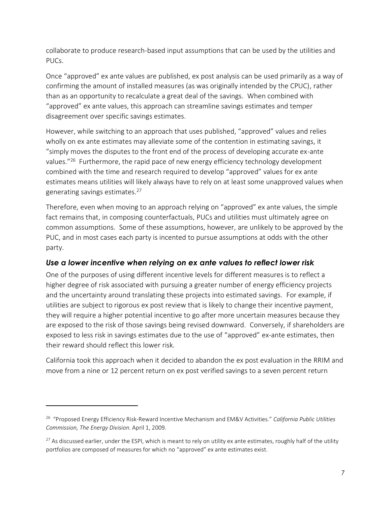collaborate to produce research-based input assumptions that can be used by the utilities and PUCs.

Once "approved" ex ante values are published, ex post analysis can be used primarily as a way of confirming the amount of installed measures (as was originally intended by the CPUC), rather than as an opportunity to recalculate a great deal of the savings. When combined with "approved" ex ante values, this approach can streamline savings estimates and temper disagreement over specific savings estimates.

However, while switching to an approach that uses published, "approved" values and relies wholly on ex ante estimates may alleviate some of the contention in estimating savings, it "simply moves the disputes to the front end of the process of developing accurate ex-ante values."<sup>26</sup> Furthermore, the rapid pace of new energy efficiency technology development combined with the time and research required to develop "approved" values for ex ante estimates means utilities will likely always have to rely on at least some unapproved values when generating savings estimates.<sup>27</sup>

Therefore, even when moving to an approach relying on "approved" ex ante values, the simple fact remains that, in composing counterfactuals, PUCs and utilities must ultimately agree on common assumptions. Some of these assumptions, however, are unlikely to be approved by the PUC, and in most cases each party is incented to pursue assumptions at odds with the other party.

#### *Use a lower incentive when relying on ex ante values to reflect lower risk*

One of the purposes of using different incentive levels for different measures is to reflect a higher degree of risk associated with pursuing a greater number of energy efficiency projects and the uncertainty around translating these projects into estimated savings. For example, if utilities are subject to rigorous ex post review that is likely to change their incentive payment, they will require a higher potential incentive to go after more uncertain measures because they are exposed to the risk of those savings being revised downward. Conversely, if shareholders are exposed to less risk in savings estimates due to the use of "approved" ex-ante estimates, then their reward should reflect this lower risk.

California took this approach when it decided to abandon the ex post evaluation in the RRIM and move from a nine or 12 percent return on ex post verified savings to a seven percent return

 $\overline{a}$ 

<sup>26</sup> "Proposed Energy Efficiency Risk-Reward Incentive Mechanism and EM&V Activities." *California Public Utilities Commission, The Energy Division.* April 1, 2009.

 $27$  As discussed earlier, under the ESPI, which is meant to rely on utility ex ante estimates, roughly half of the utility portfolios are composed of measures for which no "approved" ex ante estimates exist.